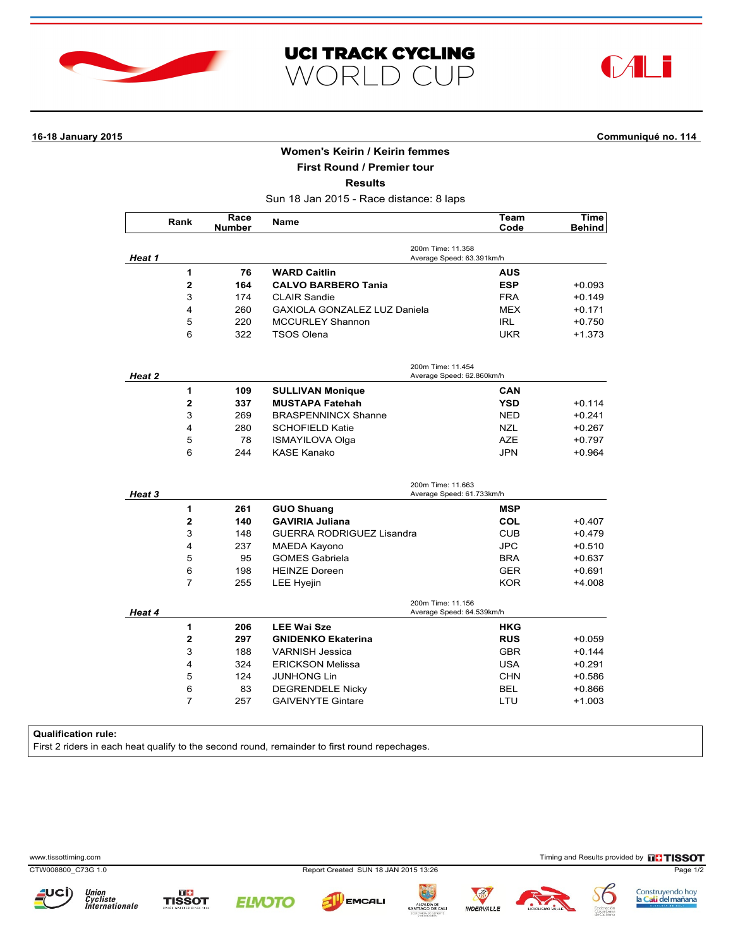





# **16-18 January 2015 Communiqué no. 114**

## **Women's Keirin / Keirin femmes**

**First Round / Premier tour**

**Results**

Sun 18 Jan 2015 - Race distance: 8 laps

|        | Rank                    | Race<br><b>Number</b> | <b>Name</b>                                    | Team<br>Code | <b>Time</b><br><b>Behind</b> |  |  |
|--------|-------------------------|-----------------------|------------------------------------------------|--------------|------------------------------|--|--|
| Heat 1 |                         |                       | 200m Time: 11.358<br>Average Speed: 63.391km/h |              |                              |  |  |
|        | 1                       | 76                    | <b>WARD Caitlin</b>                            | <b>AUS</b>   |                              |  |  |
|        | $\mathbf 2$             | 164                   | <b>CALVO BARBERO Tania</b>                     | <b>ESP</b>   | $+0.093$                     |  |  |
|        | 3                       | 174                   | <b>CLAIR Sandie</b>                            | <b>FRA</b>   | +0.149                       |  |  |
|        | 4                       | 260                   | GAXIOLA GONZALEZ LUZ Daniela                   | <b>MEX</b>   | +0.171                       |  |  |
|        | 5                       | 220                   | <b>MCCURLEY Shannon</b>                        | <b>IRL</b>   | $+0.750$                     |  |  |
|        | 6                       | 322                   | <b>TSOS Olena</b>                              | <b>UKR</b>   | +1.373                       |  |  |
| Heat 2 |                         |                       | 200m Time: 11.454<br>Average Speed: 62.860km/h |              |                              |  |  |
|        | 1                       | 109                   | <b>SULLIVAN Monique</b>                        | <b>CAN</b>   |                              |  |  |
|        | $\overline{\mathbf{2}}$ | 337                   | <b>MUSTAPA Fatehah</b>                         | <b>YSD</b>   | +0.114                       |  |  |
|        | 3                       | 269                   | <b>BRASPENNINCX Shanne</b>                     | <b>NED</b>   | $+0.241$                     |  |  |
|        | 4                       | 280                   | <b>SCHOFIELD Katie</b>                         | <b>NZL</b>   | $+0.267$                     |  |  |
|        | 5                       | 78                    | <b>ISMAYILOVA Olga</b>                         | <b>AZE</b>   | $+0.797$                     |  |  |
|        | 6                       | 244                   | <b>KASE Kanako</b>                             | <b>JPN</b>   | $+0.964$                     |  |  |
| Heat 3 |                         |                       | 200m Time: 11.663<br>Average Speed: 61.733km/h |              |                              |  |  |
|        | 1                       | 261                   | <b>GUO Shuang</b>                              | <b>MSP</b>   |                              |  |  |
|        | $\overline{2}$          | 140                   | <b>GAVIRIA Juliana</b>                         | <b>COL</b>   | +0.407                       |  |  |
| Heat 4 | 3                       | 148                   | GUERRA RODRIGUEZ Lisandra                      | <b>CUB</b>   | $+0.479$                     |  |  |
|        | 4                       | 237                   | <b>MAEDA Kayono</b>                            | <b>JPC</b>   | $+0.510$                     |  |  |
|        | 5                       | 95                    | <b>GOMES Gabriela</b>                          | <b>BRA</b>   | +0.637                       |  |  |
|        | 6                       | 198                   | <b>HEINZE Doreen</b>                           | <b>GER</b>   | $+0.691$                     |  |  |
|        | $\overline{7}$          | 255                   | LEE Hyejin                                     | <b>KOR</b>   | $+4.008$                     |  |  |
|        |                         |                       | 200m Time: 11.156<br>Average Speed: 64.539km/h |              |                              |  |  |
|        | 1                       | 206                   | <b>LEE Wai Sze</b>                             | <b>HKG</b>   |                              |  |  |
|        | $\overline{2}$          | 297                   | <b>GNIDENKO Ekaterina</b>                      | <b>RUS</b>   | $+0.059$                     |  |  |
|        | 3                       | 188                   | <b>VARNISH Jessica</b>                         | <b>GBR</b>   | $+0.144$                     |  |  |
|        | 4                       | 324                   | <b>ERICKSON Melissa</b>                        | <b>USA</b>   | $+0.291$                     |  |  |
|        | 5                       | 124                   | <b>JUNHONG Lin</b>                             | <b>CHN</b>   | $+0.586$                     |  |  |
|        | 6                       | 83                    | <b>DEGRENDELE Nicky</b>                        | <b>BEL</b>   | $+0.866$                     |  |  |
|        | $\overline{7}$          | 257                   | <b>GAIVENYTE Gintare</b>                       | LTU          | $+1.003$                     |  |  |

### **Qualification rule:**

First 2 riders in each heat qualify to the second round, remainder to first round repechages.

www.tissottiming.com **Timing and Results provided by FITISSOT** 

CTW008800\_C73G 1.0 Report Created SUN 18 JAN 2015 13:26 Page 1/2



Union<br>Cycliste<br>Internationale





**EMCALI**